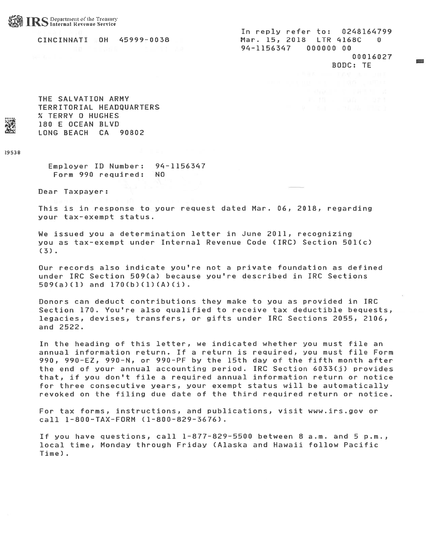

In reply refer to: 0248164799 CINCINNATI OH 5999-0038 Mar. 15, 2018 LTR 4168C 0 94-11563t7 000000 00 00016027 BODC: TE

THE SALVATION ARMY TERRITORIAL HEADQUARTERS % TERRY 0 HUGHES 180 E OCEAN BLVD LONG BEACH CA 90802

9538

Employer ID Number: 94-1156347 Form 990 required: NO

Dear Taxpayer:

This is in response to your reques<sup>t</sup> dated Mar. 06, 2018, regarding your tax-exempt status.

We issued you <sup>a</sup> determination letter in June 2011, recognizing you as tax-exempt under Internal Revenue Code (IRC) Section 501(c) (3).

Our records also indicate you're not <sup>a</sup> private foundation as defined under IRC Section 509(a) because you're described in IRC Sections 509(a)(1) and 170(b)(1)(A)(i).

Donors can deduct contributions they make to you as provided in IRC Section 170. You're also qualified to receive tax deductible bequests, legacies, devises, transfers, or gifts under IRC Sections 2055, 2106, and 2522.

In the heading of this letter, we indicated whether you must file an annual information return. If <sup>a</sup> return is required, you must file Form 990, 990-EZ, 990-N, or 990-PF by the 15th day of the fifth month after the end of your annual accounting period. IRC Section 6033(j) provides that, if you don't file <sup>a</sup> required annual information return or notice for three consecutive years, your exemp<sup>t</sup> status will be automatically revoked on the filing due date of the third required return or notice.

For tax forms, instructions, and publications, visit www.irs.gov or call 1-800-TAX-FORM (1-800-829-3676).

If you have questions, call 1-877-829-5500 between 8 a.m. and 5 p.m., local time, Monday through Friday (Alaska and Hawaii follow Pacific Time)